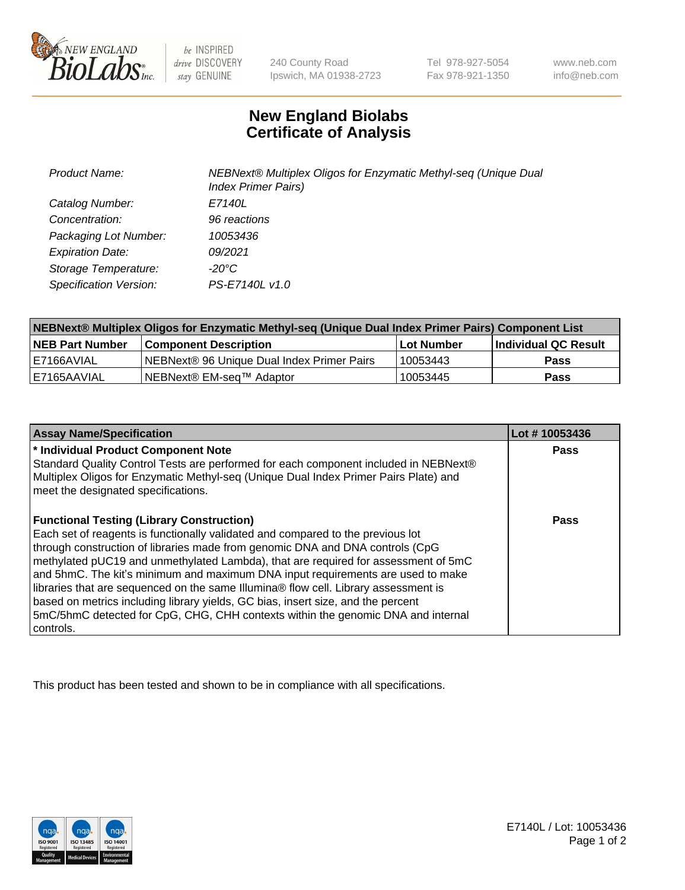

 $be$  INSPIRED drive DISCOVERY stay GENUINE

240 County Road Ipswich, MA 01938-2723 Tel 978-927-5054 Fax 978-921-1350 www.neb.com info@neb.com

## **New England Biolabs Certificate of Analysis**

| <b>Product Name:</b>    | NEBNext® Multiplex Oligos for Enzymatic Methyl-seq (Unique Dual<br><b>Index Primer Pairs)</b> |
|-------------------------|-----------------------------------------------------------------------------------------------|
| Catalog Number:         | E7140L                                                                                        |
| Concentration:          | 96 reactions                                                                                  |
| Packaging Lot Number:   | 10053436                                                                                      |
| <b>Expiration Date:</b> | 09/2021                                                                                       |
| Storage Temperature:    | -20°C                                                                                         |
| Specification Version:  | PS-E7140L v1.0                                                                                |

| NEBNext® Multiplex Oligos for Enzymatic Methyl-seq (Unique Dual Index Primer Pairs) Component List |                                            |            |                             |  |
|----------------------------------------------------------------------------------------------------|--------------------------------------------|------------|-----------------------------|--|
| <b>NEB Part Number</b>                                                                             | <b>Component Description</b>               | Lot Number | <b>Individual QC Result</b> |  |
| I E7166AVIAL                                                                                       | NEBNext® 96 Unique Dual Index Primer Pairs | 10053443   | <b>Pass</b>                 |  |
| I E7165AAVIAL                                                                                      | NEBNext® EM-seq™ Adaptor                   | 10053445   | <b>Pass</b>                 |  |

| <b>Assay Name/Specification</b>                                                                                                                                                                                                                                                                                                                                                                                                                                                                                                                                                                                                                                             | Lot #10053436 |
|-----------------------------------------------------------------------------------------------------------------------------------------------------------------------------------------------------------------------------------------------------------------------------------------------------------------------------------------------------------------------------------------------------------------------------------------------------------------------------------------------------------------------------------------------------------------------------------------------------------------------------------------------------------------------------|---------------|
| * Individual Product Component Note<br>Standard Quality Control Tests are performed for each component included in NEBNext®<br>Multiplex Oligos for Enzymatic Methyl-seq (Unique Dual Index Primer Pairs Plate) and<br>meet the designated specifications.                                                                                                                                                                                                                                                                                                                                                                                                                  | Pass          |
| <b>Functional Testing (Library Construction)</b><br>Each set of reagents is functionally validated and compared to the previous lot<br>through construction of libraries made from genomic DNA and DNA controls (CpG<br>methylated pUC19 and unmethylated Lambda), that are required for assessment of 5mC<br>and 5hmC. The kit's minimum and maximum DNA input requirements are used to make<br>libraries that are sequenced on the same Illumina® flow cell. Library assessment is<br>based on metrics including library yields, GC bias, insert size, and the percent<br>5mC/5hmC detected for CpG, CHG, CHH contexts within the genomic DNA and internal<br>l controls. | Pass          |

This product has been tested and shown to be in compliance with all specifications.